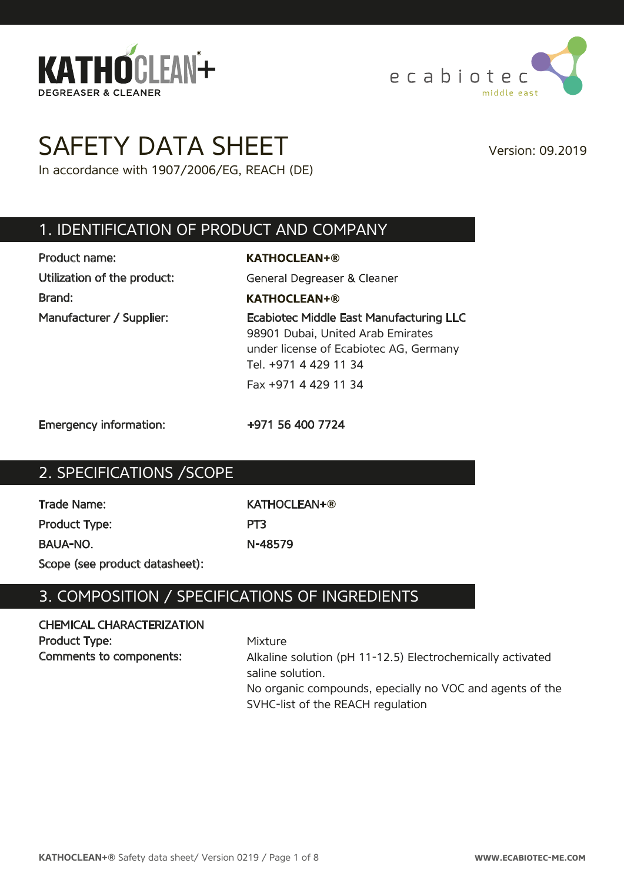



# SAFETY DATA SHEET Version: 09.2019

In accordance with 1907/2006/EG, REACH (DE)

### 1. IDENTIFICATION OF PRODUCT AND COMPANY

Product name: Utilization of the product: Brand:

**KATHOCLEAN+®** General Degreaser & Cleaner **KATHOCLEAN+®** Manufacturer / Supplier: Ecabiotec Middle East Manufacturing LLC 98901 Dubai, United Arab Emirates under license of Ecabiotec AG, Germany Tel. +971 4 429 11 34 Fax +971 4 429 11 34

Emergency information: +971 56 400 7724

### 2. SPECIFICATIONS /SCOPE

Trade Name: KATHOCLEAN+**®** Product Type: PT3 BAUA-NO. N-48579

Scope (see product datasheet):

# 3. COMPOSITION / SPECIFICATIONS OF INGREDIENTS

#### CHEMICAL CHARACTERIZATION Product Type: Comments to components:

Mixture Alkaline solution (pH 11-12.5) Electrochemically activated saline solution. No organic compounds, epecially no VOC and agents of the SVHC-list of the REACH regulation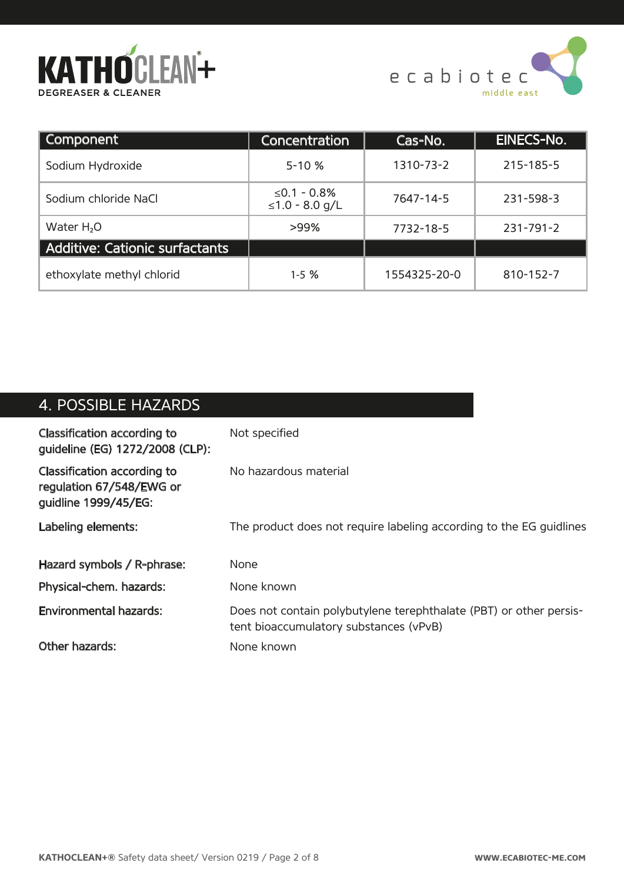



| Component                      | Concentration                 | Cas-No.      | EINECS-No.      |
|--------------------------------|-------------------------------|--------------|-----------------|
| Sodium Hydroxide               | $5 - 10%$                     | 1310-73-2    | 215-185-5       |
| Sodium chloride NaCl           | ≤0.1 - 0.8%<br>≤1.0 - 8.0 g/L | 7647-14-5    | 231-598-3       |
| Water H <sub>2</sub> O         | >99%                          | 7732-18-5    | $231 - 791 - 2$ |
| Additive: Cationic surfactants |                               |              |                 |
| ethoxylate methyl chlorid      | $1 - 5$ %                     | 1554325-20-0 | 810-152-7       |

# 4. POSSIBLE HAZARDS

| Classification according to<br>guideline (EG) 1272/2008 (CLP):                  | Not specified                                                                                                |
|---------------------------------------------------------------------------------|--------------------------------------------------------------------------------------------------------------|
| Classification according to<br>regulation 67/548/EWG or<br>guidline 1999/45/EG: | No hazardous material                                                                                        |
| Labeling elements:                                                              | The product does not require labeling according to the EG quidlines                                          |
| Hazard symbols / R-phrase:                                                      | <b>None</b>                                                                                                  |
| Physical-chem. hazards:                                                         | None known                                                                                                   |
| <b>Environmental hazards:</b>                                                   | Does not contain polybutylene terephthalate (PBT) or other persis-<br>tent bioaccumulatory substances (vPvB) |
| Other hazards:                                                                  | None known                                                                                                   |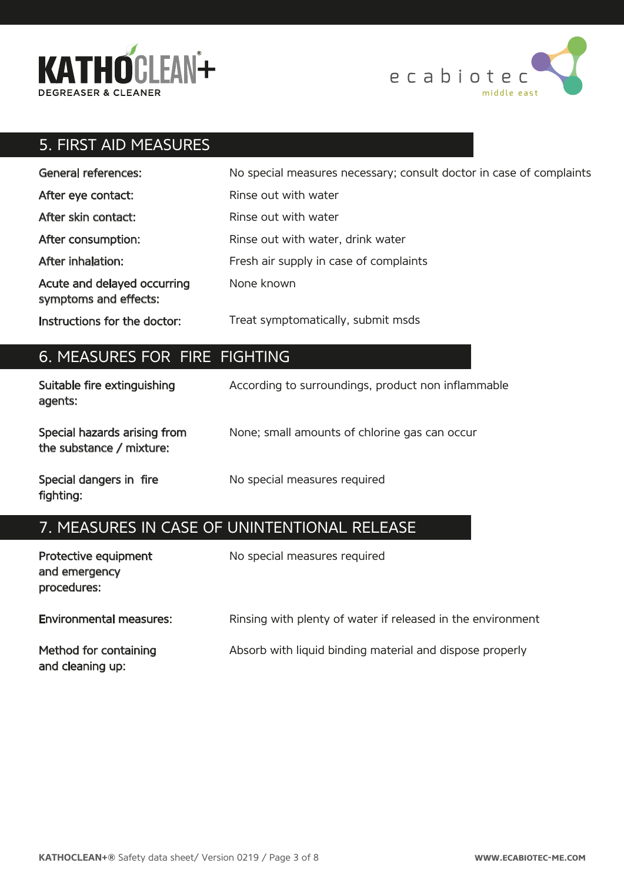



# 5. FIRST AID MEASURES

| <b>General references:</b>                           | No special measures necessary; consult doctor in case of complaints |
|------------------------------------------------------|---------------------------------------------------------------------|
| After eye contact:                                   | Rinse out with water                                                |
| After skin contact:                                  | Rinse out with water                                                |
| After consumption:                                   | Rinse out with water, drink water                                   |
| After inhalation:                                    | Fresh air supply in case of complaints                              |
| Acute and delayed occurring<br>symptoms and effects: | None known                                                          |
| Instructions for the doctor:                         | Treat symptomatically, submit msds                                  |

### 6. MEASURES FOR FIRE FIGHTING

| Suitable fire extinguishing<br>agents:                   | According to surroundings, product non inflammable |
|----------------------------------------------------------|----------------------------------------------------|
| Special hazards arising from<br>the substance / mixture: | None; small amounts of chlorine gas can occur      |
| Special dangers in fire<br>fighting:                     | No special measures required                       |

# 7. MEASURES IN CASE OF UNINTENTIONAL RELEASE

| Protective equipment<br>and emergency<br>procedures: | No special measures required                                |
|------------------------------------------------------|-------------------------------------------------------------|
| <b>Environmental measures:</b>                       | Rinsing with plenty of water if released in the environment |
| Method for containing<br>and cleaning up:            | Absorb with liquid binding material and dispose properly    |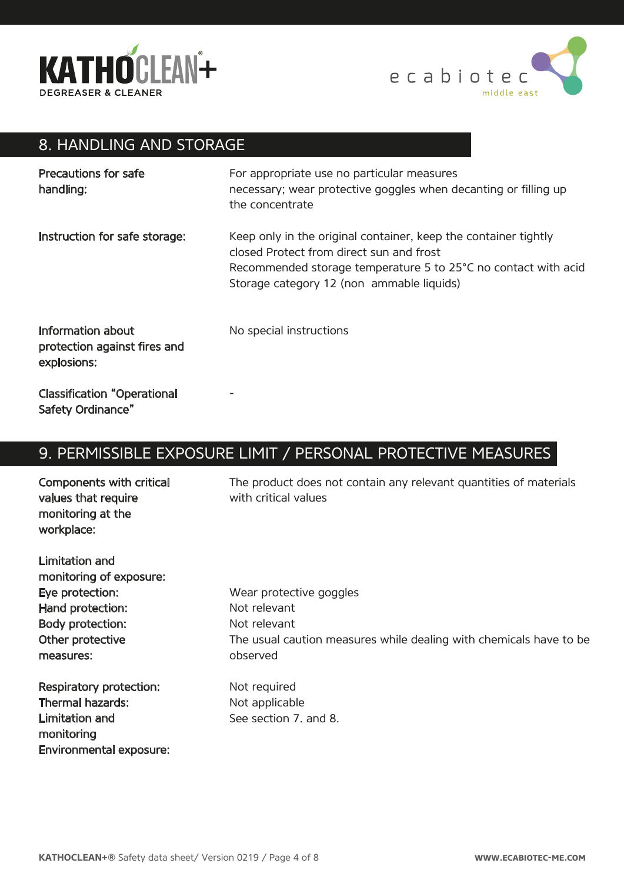



# 8. HANDLING AND STORAGE

| Precautions for safe<br>handling:                                | For appropriate use no particular measures<br>necessary; wear protective goggles when decanting or filling up<br>the concentrate                                                                                           |
|------------------------------------------------------------------|----------------------------------------------------------------------------------------------------------------------------------------------------------------------------------------------------------------------------|
| Instruction for safe storage:                                    | Keep only in the original container, keep the container tightly<br>closed Protect from direct sun and frost<br>Recommended storage temperature 5 to 25°C no contact with acid<br>Storage category 12 (non ammable liquids) |
| Information about<br>protection against fires and<br>explosions: | No special instructions                                                                                                                                                                                                    |
| <b>Classification "Operational</b><br>Safety Ordinance"          |                                                                                                                                                                                                                            |

# 9. PERMISSIBLE EXPOSURE LIMIT / PERSONAL PROTECTIVE MEASURES

| Components with critical<br>values that require<br>monitoring at the<br>workplace: | The product does not contain any relevant quantities of materials<br>with critical values |
|------------------------------------------------------------------------------------|-------------------------------------------------------------------------------------------|
| <b>Limitation and</b>                                                              |                                                                                           |
| monitoring of exposure:                                                            |                                                                                           |
| Eye protection:                                                                    | Wear protective goggles                                                                   |
| Hand protection:                                                                   | Not relevant                                                                              |
| Body protection:                                                                   | Not relevant                                                                              |
| Other protective                                                                   | The usual caution measures while dealing with chemicals have to be                        |
| measures:                                                                          | observed                                                                                  |
| Respiratory protection:                                                            | Not required                                                                              |

Respiratory protection: Thermal hazards: Limitation and monitoring Environmental exposure: Not required Not applicable See section 7. and 8.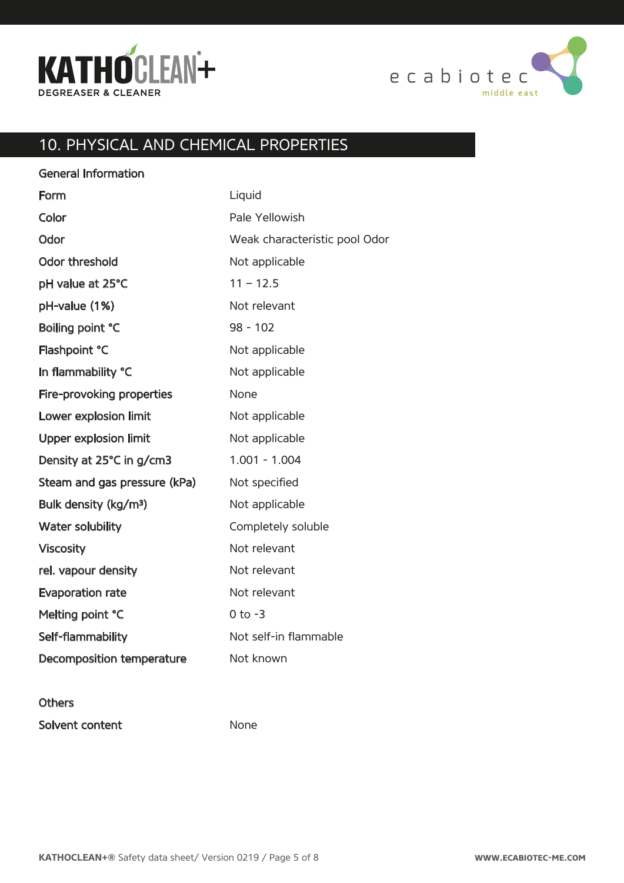



# 10. PHYSICAL AND CHEMICAL PROPERTIES

Liquid Pale Yellowish Weak characteristic pool Odor Not applicable  $11 - 12.5$ Not relevant 98 - 102 Not applicable Not applicable None Not applicable Not applicable 1.001 - 1.004 Not specified Not applicable Completely soluble Not relevant Not relevant Not relevant 0 to -3 Not self-in�flammable Not known General Information Form Color **Odor** Odor threshold pH value at 25°C pH-value (1%) Boiling point °C Flashpoint °C In flammability °C Fire-provoking properties Lower explosion limit Upper explosion limit Density at 25°C in g/cm3 Steam and gas pressure (kPa) Bulk density (kg/m³) Water solubility Viscosity rel. vapour density Evaporation rate Melting point °C Self-flammability Decomposition temperature

#### **Others**

Solvent content

None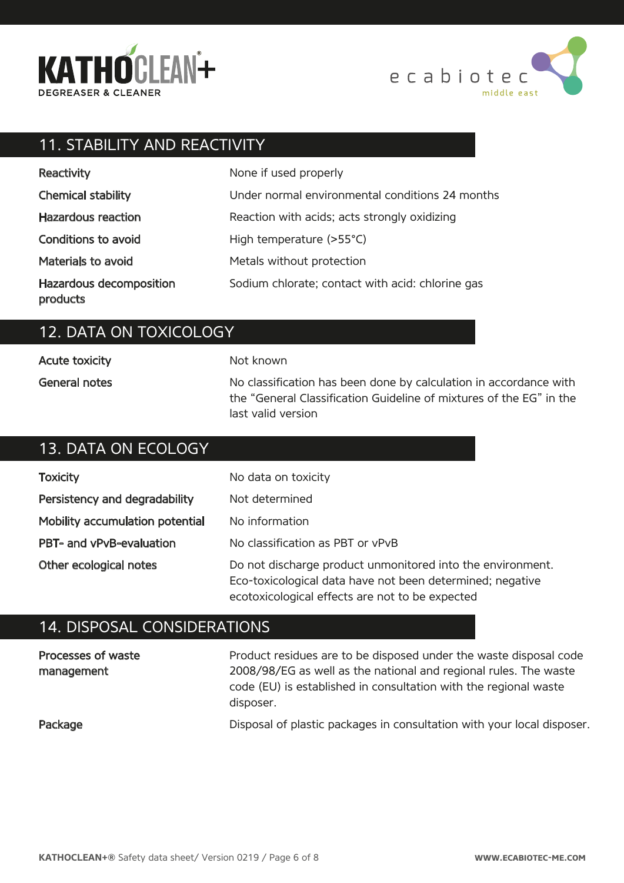



### 11. STABILITY AND REACTIVITY

| Reactivity                          | None if used properly                            |
|-------------------------------------|--------------------------------------------------|
| <b>Chemical stability</b>           | Under normal environmental conditions 24 months  |
| Hazardous reaction                  | Reaction with acids; acts strongly oxidizing     |
| Conditions to avoid                 | High temperature (>55°C)                         |
| Materials to avoid                  | Metals without protection                        |
| Hazardous decomposition<br>products | Sodium chlorate; contact with acid: chlorine gas |

### 12. DATA ON TOXICOLOGY

Acute toxicity General notes

#### Not known

No classification has been done by calculation in accordance with the "General Classification Guideline of mixtures of the EG" in the last valid version

#### 13. DATA ON ECOLOGY No data on toxicity Not determined No information No classification as PBT or vPvB Do not discharge product unmonitored into the environment. Eco-toxicological data have not been determined; negative **Toxicity** Persistency and degradability Mobility accumulation potential PBT- and vPvB-evaluation Other ecological notes

### 14. DISPOSAL CONSIDERATIONS

| Processes of waste<br>management | Product residues are to be disposed under the waste disposal code<br>2008/98/EG as well as the national and regional rules. The waste<br>code (EU) is established in consultation with the regional waste<br>disposer. |
|----------------------------------|------------------------------------------------------------------------------------------------------------------------------------------------------------------------------------------------------------------------|
| Package                          | Disposal of plastic packages in consultation with your local disposer.                                                                                                                                                 |

ecotoxicological effects are not to be expected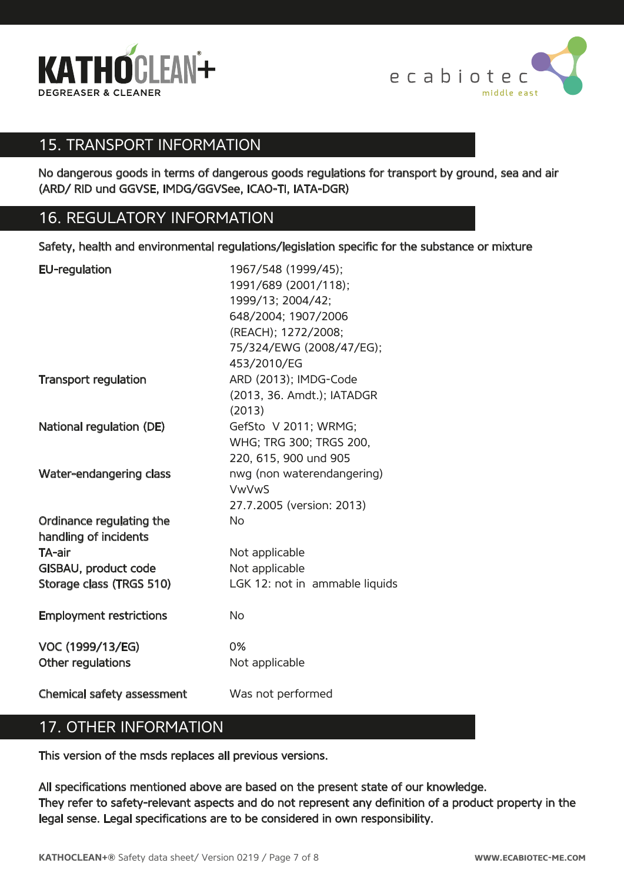



### 15. TRANSPORT INFORMATION

No dangerous goods in terms of dangerous goods regulations for transport by ground, sea and air (ARD/ RID und GGVSE, IMDG/GGVSee, ICAO-TI, IATA-DGR)

### 16. REGULATORY INFORMATION

Safety, health and environmental regulations/legislation specific for the substance or mixture

| <b>EU-regulation</b>                              | 1967/548 (1999/45);<br>1991/689 (2001/118);<br>1999/13; 2004/42;<br>648/2004; 1907/2006<br>(REACH); 1272/2008; |
|---------------------------------------------------|----------------------------------------------------------------------------------------------------------------|
|                                                   | 75/324/EWG (2008/47/EG);<br>453/2010/EG                                                                        |
| <b>Transport regulation</b>                       | ARD (2013); IMDG-Code<br>(2013, 36. Amdt.); IATADGR<br>(2013)                                                  |
| National regulation (DE)                          | GefSto V 2011; WRMG;<br>WHG; TRG 300; TRGS 200,<br>220, 615, 900 und 905                                       |
| Water-endangering class                           | nwg (non waterendangering)<br><b>VwVwS</b><br>27.7.2005 (version: 2013)                                        |
| Ordinance regulating the<br>handling of incidents | <b>No</b>                                                                                                      |
| TA-air                                            | Not applicable                                                                                                 |
| GISBAU, product code                              | Not applicable                                                                                                 |
| Storage class (TRGS 510)                          | LGK 12: not in ammable liquids                                                                                 |
| <b>Employment restrictions</b>                    | <b>No</b>                                                                                                      |
| VOC (1999/13/EG)<br>Other regulations             | 0%<br>Not applicable                                                                                           |
| Chemical safety assessment                        | Was not performed                                                                                              |

### 17. OTHER INFORMATION

This version of the msds replaces all previous versions.

All specifications mentioned above are based on the present state of our knowledge. They refer to safety-relevant aspects and do not represent any definition of a product property in the legal sense. Legal specifications are to be considered in own responsibility.